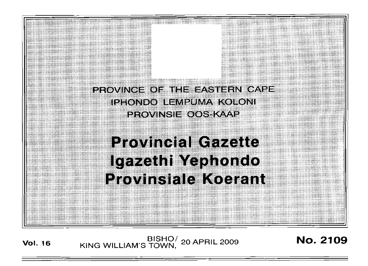

**Vol. <sup>16</sup>** BISHO/ KING WILLIAM'S TOWN, <sup>20</sup> APRIL <sup>2009</sup> No. 2109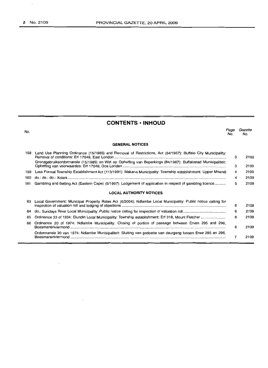$\overline{\phantom{a}}$ 

# **CONTENTS • INHOUD**

| No. |                                                                                                                | Page<br>No. | Gazette<br>No. |
|-----|----------------------------------------------------------------------------------------------------------------|-------------|----------------|
|     | <b>GENERAL NOTICES</b>                                                                                         |             |                |
| 158 | Land Use Planning Ordinance (15/1985) and Removal of Restrictions, Act (84/1967): Buffalo City Municipality:   | 3           | 2109           |
|     | Grondgebruiksordonnansie (15/1985) en Wet op Opheffing van Beperkings (84/1967): Buffalostad Munisipaliteit:   | з           | 2109           |
| 159 | Less Formal Township Establishment Act (113/1991): Makana Municipality: Township establishment: Upper Mnandi   | 4           | 2109           |
| 160 |                                                                                                                | 4           | 2109           |
| 161 | Gambling and Betting Act (Eastern Cape) (5/1997): Lodgement of application in respect of gambling licence      | 5           | 2109           |
|     | <b>LOCAL AUTHORITY NOTICES</b>                                                                                 |             |                |
| 63  | Local Government: Municipal Property Rates Act (6/2004): Ndlambe Local Municipality: Public notice calling for | 6           | 2109           |
| 64  |                                                                                                                | 6           | 2109           |
| 65  |                                                                                                                | 6           | 2109           |
| 66  | Ordinance 20 of 1974: Ndlambe Municipality: Closing of portion of passage between Erven 295 and 296,           | 6           | 2109           |
|     | Ordonnansie 20 van 1974: Ndlambe Munisipaliteit: Sluiting van gedeelte van deurgang tussen Erwe 295 en 296,    | 7           | 2109           |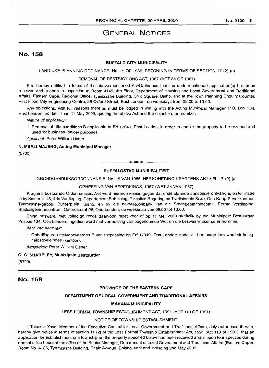# **GENERAL NOTICES**

# No. 158

### **BUFFALO CITY MUNICIPALITY**

LAND USE PLANNING ORDINANCE, No. 15 OF 1985, REZONING IN TERMS OF SECTION 17 (2) (a)

### REMOVAL OF RESTRICTIONS ACT, 1967 (ACT 84 OF 1967)

It is hereby notified in terms of the above-mentioned Act/Ordinance that the undermentioned application(s) has been received and is open to inspection at Room 4145, 4th Floor, Department of Housing and Local Government and Traditional Affairs, Eastern Cape, Regional Office, Tyamzashe Building, Civic Square, Bisho, and at the Town Planning Enquiry Counter, First Floor, City Engineering Centre, 26 Oxford Street, East London, on weekdays from 08:00 to 13:00.

Any objections, with full reasons therefor, must be lodged in writing with the Acting Municipal Manager, P.O. Box 134, East London, not later than 11 May 2009, quoting the above Act and the objector's erf number.

Nature of application:

1. Removal of title conditions B applicable to Erf 17049, East London, in order to enable the property to be rezoned and used for business (office) purposes.

Applicant: Peter William Osner.

## **N. MBALI-MAJENG, Acting Municipal Manager**

(5700)

# **• BUFFALOSTAD MUNISIPALITEIT**

GRONDGEBRUIKSORDONNANSIE, No. 15 VAN 1985, HERSONERING KRAGTENS ARTIKEL 17 (2) (a)

OPHEFFING VAN BEPERKINGS, 1967 (WET 84 VAN 1967)

Kragtens bostaande Ordonnansies/Wet word hiermee kennis gegee dat onderstaande aansoek/e ontvang is en ter insae lê by Kamer 4145, 4de Verdieping, Departement Behuising, Plaaslike Regering en Tradisionele Sake, Oos-Kaap Streekkantoor, Tyamzashe-gebou, Burgerplein, Bisho, en by die navraetoonbank van die Stadsbeplanningstak, Eerste Verdieping, Stadsingenieursentrum, Oxfordstraat 26, Oos-Londen, op weeksdae van 08:00 tot 13:00.

Enige besware, met volledige redes daarvoor, moet voor of op 11 Mei 2009 skriftelik by die Munisipale Bestuurder, Posbus 134, Oos-Londen, ingedien word met vermelding van bogenoemde Wet en die beswaarmaker se erfnommer.

Aard van aansoek:

1. Opheffing van titelvoorwaardes B van toepassing op Erf 17049, Oos-Londen, sodat dit hersoneer kan word vir besigheidsdoeleindes (kantoor).

Aansoeker: Peter William Osner.

### G. G. **SHARPLEY, Munisipale Bestuurder**

(5700)

# No. 159

### **PROVINCE OF THE EASTERN CAPE**

### **DEPARTMENT OF LOCAL GOVERNMENT AND TRADITIONAL AFFAIRS**

### **MAKANA MUNICIPALITY**

LESS FORMAL TOWNSHIP ESTABLISHMENT ACT, 1991 (ACT 113 OF 1991)

### NOTICE OF TOWNSHIP ESTABLISHMENT

I, Tokozile Xasa, Member of the Executive Council for Local Government and Traditional Affairs, duly authorised thereto, hereby give notice in terms of section 11 (2) of the Less Formal Township Establishment Act, 1991 (Act 113 of 1991), that an application for establishment of a township on the property specified below has been received and is open to inspection during normal office hours at the office of the Senior Manager, Department of Local Government and Traditional Affairs (Eastern Cape), Room No. 4185, Tyamzashe Building, Phalo Avenue, Bhisho, until and including 2nd May 2009.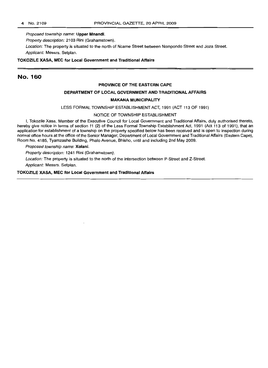Proposed township name: **Upper Mnandi.**

Property description: 2103 Rini (Grahamstown).

Location: The property is situated to the north of Ncame Street between Nompondo Street and Joza Street. Applicant: Messrs. Setplan.

### **TOKOZILE XASA, MEC for Local Government and Traditional Affairs**

# No. 160

### **PROVINCE OF THE EASTERN CAPE**

## **DEPARTMENT OF LOCAL GOVERNMENT AND TRADITIONAL AFFAIRS**

## **MAKANA MUNICIPALITY**

LESS FORMAL TOWNSHIP ESTABLISHMENT ACT, 1991 (ACT 113 OF 1991)

### NOTICE OF TOWNSHIP ESTABLISHMENT

I, Tokozile Xasa, Member of the Executive Council for Local Government and Traditional Affairs, duly authorised thereto, hereby give notice in terms of section 11 (2) of the Less Formal Township Establishment Act, 1991 (Act 113 of 1991), that an application for establishment of a township on the property specified below has been received and is open to inspection during normal office hours at the office of the Senior Manager, Department of Local Government and Traditional Affairs (Eastern Cape), Room No. 4185, Tyamzashe Building, Phalo Avenue, Bhisho, until and including 2nd May 2009.

Proposed township name: **Xolani.**

Property description: 1241 Rini (Grahamstown).

Location: The property is situated to the north of the intersection between P-Street and Z-Street.

Applicant: Messrs. Setplan.

### **TOKOZILE XASA, MEC for Local Government and Traditional Affairs**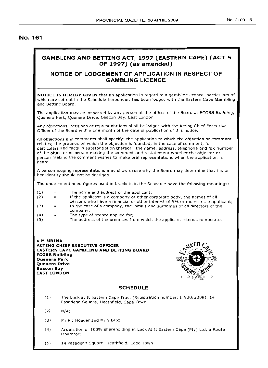# **No. 161**

# **GAMBLING AND BETTING ACT, 1997 (EASTERN CAPE) (ACT 5 OF 1997) (as amended)**

# **NOTICE OF LODGEMENT OF APPLICATION IN RESPECT OF GAMBLING LICENCE**

**NOTICE IS HEREBY GIVEN** that an application in regard to a gambling licence, particulars of which are set out in the Schedule hereunder, has been lodged with the Eastern Cape Gambling and Betting Board.

The application may be inspected by any person at the offices of the Board at ECGBB Building, Quenera Park, Quenera Drive, Beacon Bay, East London

Any objections, petitions or representations shall be lodged with the Acting Chief Executive Officer of the Board within one month of the date of publication of this notice.

All objections and comments shall specify: the application to which the objection or comment relates; the grounds on which the objection is founded; in the case of comment, full particulars and facts in substantiation thereof: the name, address, telephone and fax number of the objector or person making the comment and a statement whether the objector or person making the comment wishes to make oral representations when the application is heard.

A person lodging representations may show cause why the Board may determine that his or her identity should not be divulged.

The under-mentioned figures used in brackets in the Schedule have the following meanings:

- (1)  $\overline{\phantom{m}}$ The name and address of the applicant;
- (2)  $\equiv$ If the applicant is a company or other corporate body, the names of all persons who have a financial or other interest of 5% or more in the applicant; (3) In the case of a company, the initials and surnames of all directors of the  $\equiv$
- company; (4)  $=$ The type of licence applied for;
- (5) The address of the premises from which the applicant intends to operate.

V **M MBINA ACTING CHIEF EXECUTIVE OFFICER EASTERN CAPE GAMBLING AND BETTING BOARD ECGBB Building Quenera Park Quenera Drive Beacon Bay EAST LONDON**



## **SCHEDULE**

- (1) The Luck at It Eastern Cape Trust (Registration number: IT920/2009), 14 Pasadena Square, Heathfield, Cape Town
- $(2)$  N/A;
- (3) Mr P.J Heeger and Mr Y Bux;
- (4) Acquisition of 100% shareholding in Luck At It Eastern Cape (Pty) Ltd, <sup>a</sup> Route Operator;
- (5) 14 Pasadena Square, Heathfield, Cape Town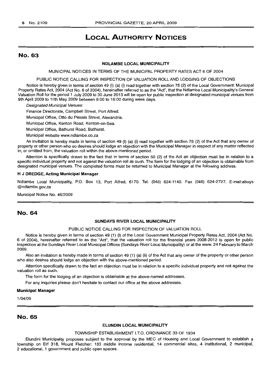# **LOCAL AUTHORITY NOTICES**

## No. 63

### NDLAMBE LOCAL MUNICIPALITY

MUNICIPAL NOTICES IN TERMS OF THE MUNICIPAL PROPERTY RATES ACT 6 OF 2004

PUBLIC NOTICE CALLING FOR INSPECTION OF VALUATION ROLL AND LODGING OF OBJECTIONS

Notice is hereby given in terms of section 49 (I) (a) (i) read together with section 78 (2) of the Local Government: Municipal Property Rates Act, 2004 (Act No.6 of 2004), hereinafter referred to as the "Act", that the Ndlambe Local Municipality's General Valuation Roll for the period 1 July 2009 to 30 June 2013 will be open for public inspection at designated municipal venues from 9th April 2009 to 11 th May 2009 between 8:00 to 16:00 during week days.

Designated Municipal Venues:

Finance Directorate, Campbell Street, Port Alfred.

Municipal Office, Otto du Plessis Street, Alexandria.

Municipal Office, Kenton Road, Kenton-on-Sea.

Municipal Office, Bathurst Road, Bathurst.

Municipal website www.ndlambe.co.za

An invitation is hereby made in terms of section 49 (I) (a) (i) read together with section 78 (2) of the Act that any owner of property or other person who so desires should lodge an objection with the Municipal Manager in respect of any matter reflected in, or omitted from, the valuation roll within the above-mentioned period.

Attention is specifically drawn to the fact that in terms of section 50 (2) of the Act an objection must be in relation to a specific individual property and not against the valuation roll as such. The form for the lodging of an objection is obtainable from designated municipal venues. The completed forms must be returned to Municipal Manager at the following address.

### H J DREDGE, Acting Municipal Manager

Ndtambe Local Municipality, P.O. Box 13, Port Alfred, 6170. Tel. (046) 624-1140. Fax (046) 624-2727. E-mail:abuys @ndlambe.gov.za

Municipal Notice No. 46/2009

## No. 64

### SUNDAYS RIVER LOCAL MUNICIPALITY

### PUBLIC NOTICE CALLING FOR INSPECTION OF VALUATION ROLL

Notice is hereby given in terms of section 49 (1) (I) of the Local Government Municipal Property Rates Act, 2004 (Act No. 6 of 2004), hereinafter referred to as the "Act", that the valuation roll for the financial years 2008-2012 is open for public inspection at the Sundays River Local Municipal Offices (Sundays River Local Municipality) or at the www. 24 February to March 2009.

Also an invitation is hereby made in terms of section 49 (1) (a) (ii) of the Act that any owner of the property or other person who also desires should lodge an objection with the above-mentioned period.

Attention specifically drawn to the fact an objection must be in relation to a specific individual property and not against the valuation roll as such.

The form for the lodging of an objection is obtainable at the above-named addresses.

For any inquiries please don't hesitate to contact our office at the above addresses.

#### Municipal Manager

1/04/09

## No. 65

### ELUNDIN LOCAL MUNICIPALITY

## TOWNSHIP ESTABLISHMENT !.T.O. ORDINANCE 33 OF 1934

Elundini Municipality proposes subject to the approval by the MEC of Housing and Local Government to establish a township on Erf 318, Mount Fletcher: 183 middle income residential, 14 commercial sites, 4 institutional, 2 municipal, 2 educational, 1 government and public open spaces.